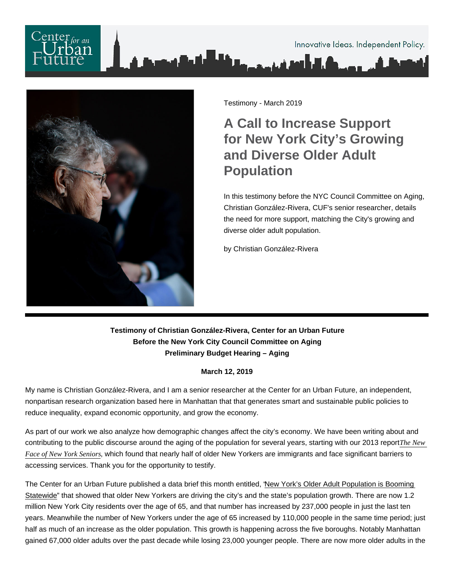

Testimony - March 2019

A Call to Increase Support for New York City's Growing and Diverse Older Adult Population

In this testimony before the NYC Council Committee on Aging, Christian González-Rivera, CUF's senior researcher, details the need for more support, matching the City's growing and diverse older adult population.

by Christian González-Rivera

Testimony of Christian González-Rivera, Center for an Urban Future Before the New York City Council Committee on Aging Preliminary Budget Hearing – Aging

March 12, 2019

My name is Christian González-Rivera, and I am a senior researcher at the Center for an Urban Future, an independent, nonpartisan research organization based here in Manhattan that that generates smart and sustainable public policies to reduce inequality, expand economic opportunity, and grow the economy.

As part of our work we also analyze how demographic changes affect the city's economy. We have been writing about and contributing to the public discourse around the aging of the population for several years, starting with our 2013 report [The New](https://nycfuture.org/research/the-new-face-of-new-yorks-seniors) [Face of New York Senio](https://nycfuture.org/research/the-new-face-of-new-yorks-seniors)rs hich found that nearly half of older New Yorkers are immigrants and face significant barriers to accessing services. Thank you for the opportunity to testify.

The Center for an Urban Future published a data brief this month entitled, ["New York's Older Adult Population is Booming](https://nycfuture.org/research/new-yorks-older-adult-population-is-booming-statewide)  [Statewide"](https://nycfuture.org/research/new-yorks-older-adult-population-is-booming-statewide) that showed that older New Yorkers are driving the city's and the state's population growth. There are now 1.2 million New York City residents over the age of 65, and that number has increased by 237,000 people in just the last ten years. Meanwhile the number of New Yorkers under the age of 65 increased by 110,000 people in the same time period; just half as much of an increase as the older population. This growth is happening across the five boroughs. Notably Manhattan gained 67,000 older adults over the past decade while losing 23,000 younger people. There are now more older adults in the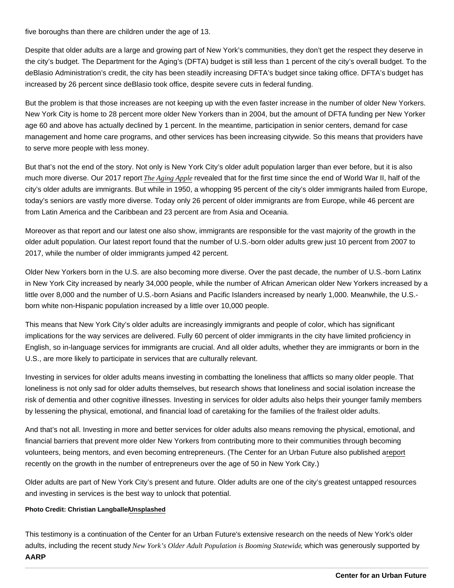five boroughs than there are children under the age of 13.

Despite that older adults are a large and growing part of New York's communities, they don't get the respect they deserve in the city's budget. The Department for the Aging's (DFTA) budget is still less than 1 percent of the city's overall budget. To the deBlasio Administration's credit, the city has been steadily increasing DFTA's budget since taking office. DFTA's budget has increased by 26 percent since deBlasio took office, despite severe cuts in federal funding.

But the problem is that those increases are not keeping up with the even faster increase in the number of older New Yorkers. New York City is home to 28 percent more older New Yorkers than in 2004, but the amount of DFTA funding per New Yorker age 60 and above has actually declined by 1 percent. In the meantime, participation in senior centers, demand for case management and home care programs, and other services has been increasing citywide. So this means that providers have to serve more people with less money.

But that's not the end of the story. Not only is New York City's older adult population larger than ever before, but it is also much more diverse. Our 2017 report [The Aging Appl](https://nycfuture.org/research/the-aging-apple)e evealed that for the first time since the end of World War II, half of the city's older adults are immigrants. But while in 1950, a whopping 95 percent of the city's older immigrants hailed from Europe, today's seniors are vastly more diverse. Today only 26 percent of older immigrants are from Europe, while 46 percent are from Latin America and the Caribbean and 23 percent are from Asia and Oceania.

Moreover as that report and our latest one also show, immigrants are responsible for the vast majority of the growth in the older adult population. Our latest report found that the number of U.S.-born older adults grew just 10 percent from 2007 to 2017, while the number of older immigrants jumped 42 percent.

Older New Yorkers born in the U.S. are also becoming more diverse. Over the past decade, the number of U.S.-born Latinx in New York City increased by nearly 34,000 people, while the number of African American older New Yorkers increased by a little over 8,000 and the number of U.S.-born Asians and Pacific Islanders increased by nearly 1,000. Meanwhile, the U.S. born white non-Hispanic population increased by a little over 10,000 people.

This means that New York City's older adults are increasingly immigrants and people of color, which has significant implications for the way services are delivered. Fully 60 percent of older immigrants in the city have limited proficiency in English, so in-language services for immigrants are crucial. And all older adults, whether they are immigrants or born in the U.S., are more likely to participate in services that are culturally relevant.

Investing in services for older adults means investing in combatting the loneliness that afflicts so many older people. That loneliness is not only sad for older adults themselves, but research shows that loneliness and social isolation increase the risk of dementia and other cognitive illnesses. Investing in services for older adults also helps their younger family members by lessening the physical, emotional, and financial load of caretaking for the families of the frailest older adults.

And that's not all. Investing in more and better services for older adults also means removing the physical, emotional, and financial barriers that prevent more older New Yorkers from contributing more to their communities through becoming volunteers, being mentors, and even becoming entrepreneurs. (The Center for an Urban Future also published a [report](https://nycfuture.org/research/starting-later) recently on the growth in the number of entrepreneurs over the age of 50 in New York City.)

Older adults are part of New York City's present and future. Older adults are one of the city's greatest untapped resources and investing in services is the best way to unlock that potential.

Photo Credit: Christian Langballe/ [Unsplashed](http://https://unsplash.com/photos/3I0X0owZS7M)

This testimony is a continuation of the Center for an Urban Future's extensive research on the needs of New York's older adults, including the recent study New York's Older Adult Population is Booming Statewid tich was generously supported by AARP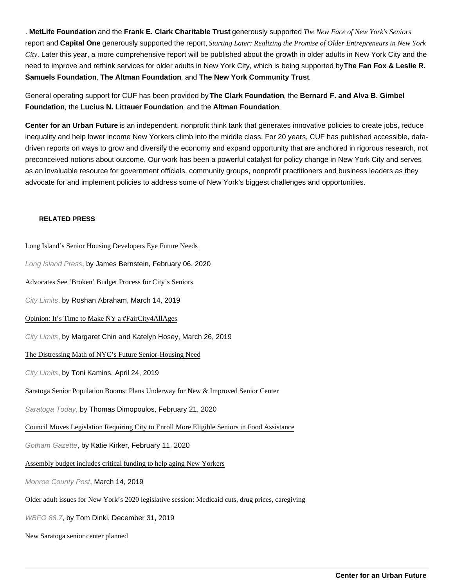. MetLife Foundation and the Frank E. Clark Charitable Trust generously supported The New Face of New York's Seniors report and Capital One generously supported the report, Starting Later: Realizing the Promise of Older Entrepreneurs in New York City. Later this year, a more comprehensive report will be published about the growth in older adults in New York City and the need to improve and rethink services for older adults in New York City, which is being supported by The Fan Fox & Leslie R. Samuels Foundation , The Altman Foundation , and The New York Community Trust .

General operating support for CUF has been provided by The Clark Foundation , the Bernard F. and Alva B. Gimbel Foundation , the Lucius N. Littauer Foundation , and the Altman Foundation .

Center for an Urban Future is an independent, nonprofit think tank that generates innovative policies to create jobs, reduce inequality and help lower income New Yorkers climb into the middle class. For 20 years, CUF has published accessible, datadriven reports on ways to grow and diversify the economy and expand opportunity that are anchored in rigorous research, not preconceived notions about outcome. Our work has been a powerful catalyst for policy change in New York City and serves as an invaluable resource for government officials, community groups, nonprofit practitioners and business leaders as they advocate for and implement policies to address some of New York's biggest challenges and opportunities.

## RELATED PRESS

[Long Island's Senior Housing Developers Eye Future N](https://www.longislandpress.com/2020/02/05/long-islands-senior-housing-developers-eye-future-needs/)eeds Long Island Press, by James Bernstein, February 06, 2020 [Advocates See 'Broken' Budget Process for City's Se](https://citylimits.org/2019/03/14/advocates-see-broken-budget-process-for-citys-seniors/)niors City Limits, by Roshan Abraham, March 14, 2019 [Opinion: It's Time to Make NY a #FairCity4AllAge](https://citylimits.org/2019/03/26/opinion-its-time-to-make-ny-a-faircity4allages/)s City Limits, by Margaret Chin and Katelyn Hosey, March 26, 2019 [The Distressing Math of NYC's Future Senior-Housing N](https://citylimits.org/2019/04/24/the-distressing-math-of-nycs-future-senior-housing-need/)eed City Limits, by Toni Kamins, April 24, 2019 [Saratoga Senior Population Booms: Plans Underway for New & Improved Senior](https://www.saratogatodaynewspaper.com/home/item/11223-saratoga-senior-population-booms-plans-underway-for-new-improved-senior-center) Center Saratoga Today, by Thomas Dimopoulos, February 21, 2020 [Council Moves Legislation Requiring City to Enroll More Eligible Seniors in Food Assis](https://www.gothamgazette.com/city/9126-council-moves-legislation-requiring-city-to-enroll-more-eligible-seniors-in-food-assistance)tance Gotham Gazette, by Katie Kirker, February 11, 2020 [Assembly budget includes critical funding to help aging New Yo](https://www.monroecopost.com/news/20190314/assembly-budget-includes-critical-funding-to-help-aging-new-yorkers)rkers Monroe County Post, March 14, 2019 [Older adult issues for New York's 2020 legislative session: Medicaid cuts, drug prices, ca](https://news.wbfo.org/post/older-adult-issues-new-yorks-2020-legislative-session-medicaid-cuts-drug-prices-caregiving)regiving WBFO 88.7, by Tom Dinki, December 31, 2019

[New Saratoga senior center plan](https://dailygazette.com/article/2020/02/19/new-saratoga-senior-center-planned)ned